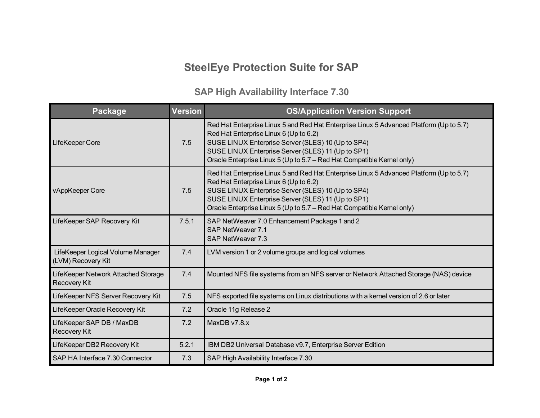## **SteelEye Protection Suite for SAP**

## **SAP High Availability Interface 7.30**

| Package                                                    | <b>Version</b> | <b>OS/Application Version Support</b>                                                                                                                                                                                                                                                                                   |
|------------------------------------------------------------|----------------|-------------------------------------------------------------------------------------------------------------------------------------------------------------------------------------------------------------------------------------------------------------------------------------------------------------------------|
| LifeKeeper Core                                            | 7.5            | Red Hat Enterprise Linux 5 and Red Hat Enterprise Linux 5 Advanced Platform (Up to 5.7)<br>Red Hat Enterprise Linux 6 (Up to 6.2)<br>SUSE LINUX Enterprise Server (SLES) 10 (Up to SP4)<br>SUSE LINUX Enterprise Server (SLES) 11 (Up to SP1)<br>Oracle Enterprise Linux 5 (Up to 5.7 – Red Hat Compatible Kernel only) |
| vAppKeeper Core                                            | 7.5            | Red Hat Enterprise Linux 5 and Red Hat Enterprise Linux 5 Advanced Platform (Up to 5.7)<br>Red Hat Enterprise Linux 6 (Up to 6.2)<br>SUSE LINUX Enterprise Server (SLES) 10 (Up to SP4)<br>SUSE LINUX Enterprise Server (SLES) 11 (Up to SP1)<br>Oracle Enterprise Linux 5 (Up to 5.7 – Red Hat Compatible Kernel only) |
| LifeKeeper SAP Recovery Kit                                | 7.5.1          | SAP NetWeaver 7.0 Enhancement Package 1 and 2<br>SAP NetWeaver 7.1<br>SAP NetWeaver 7.3                                                                                                                                                                                                                                 |
| LifeKeeper Logical Volume Manager<br>(LVM) Recovery Kit    | 7.4            | LVM version 1 or 2 volume groups and logical volumes                                                                                                                                                                                                                                                                    |
| LifeKeeper Network Attached Storage<br><b>Recovery Kit</b> | 7.4            | Mounted NFS file systems from an NFS server or Network Attached Storage (NAS) device                                                                                                                                                                                                                                    |
| LifeKeeper NFS Server Recovery Kit                         | 7.5            | NFS exported file systems on Linux distributions with a kernel version of 2.6 or later                                                                                                                                                                                                                                  |
| LifeKeeper Oracle Recovery Kit                             | 7.2            | Oracle 11g Release 2                                                                                                                                                                                                                                                                                                    |
| LifeKeeper SAP DB / MaxDB<br><b>Recovery Kit</b>           | 7.2            | MaxDB v7.8.x                                                                                                                                                                                                                                                                                                            |
| LifeKeeper DB2 Recovery Kit                                | 5.2.1          | IBM DB2 Universal Database v9.7, Enterprise Server Edition                                                                                                                                                                                                                                                              |
| SAP HA Interface 7.30 Connector                            | 7.3            | SAP High Availability Interface 7.30                                                                                                                                                                                                                                                                                    |